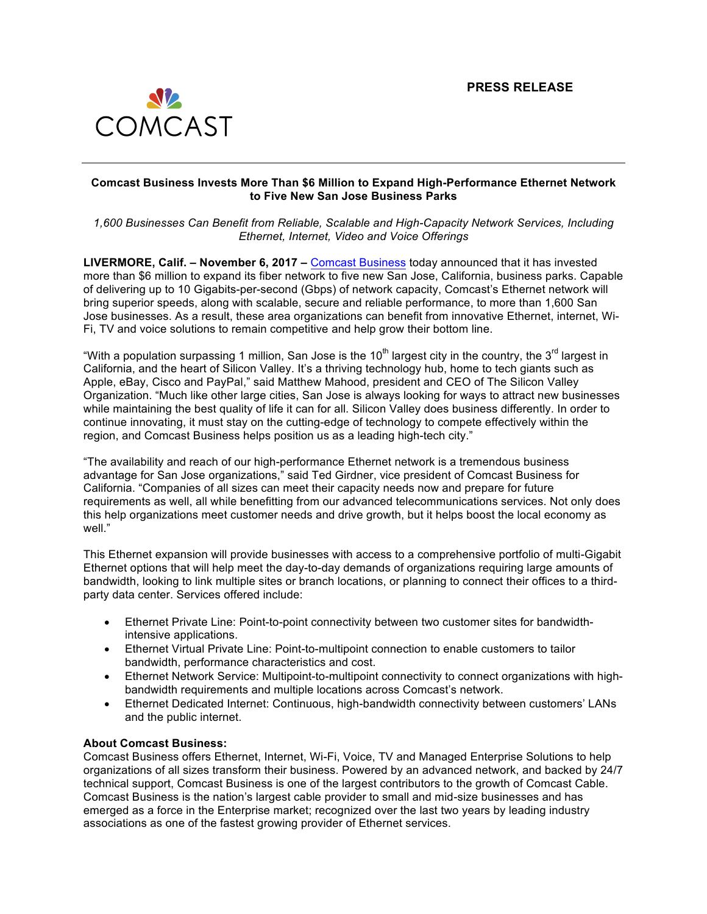

## **Comcast Business Invests More Than \$6 Million to Expand High-Performance Ethernet Network to Five New San Jose Business Parks**

*1,600 Businesses Can Benefit from Reliable, Scalable and High-Capacity Network Services, Including Ethernet, Internet, Video and Voice Offerings*

**LIVERMORE, Calif. – November 6, 2017 –** Comcast Business today announced that it has invested more than \$6 million to expand its fiber network to five new San Jose, California, business parks. Capable of delivering up to 10 Gigabits-per-second (Gbps) of network capacity, Comcast's Ethernet network will bring superior speeds, along with scalable, secure and reliable performance, to more than 1,600 San Jose businesses. As a result, these area organizations can benefit from innovative Ethernet, internet, Wi-Fi, TV and voice solutions to remain competitive and help grow their bottom line.

"With a population surpassing 1 million, San Jose is the  $10<sup>th</sup>$  largest city in the country, the  $3<sup>rd</sup>$  largest in California, and the heart of Silicon Valley. It's a thriving technology hub, home to tech giants such as Apple, eBay, Cisco and PayPal," said Matthew Mahood, president and CEO of The Silicon Valley Organization. "Much like other large cities, San Jose is always looking for ways to attract new businesses while maintaining the best quality of life it can for all. Silicon Valley does business differently. In order to continue innovating, it must stay on the cutting-edge of technology to compete effectively within the region, and Comcast Business helps position us as a leading high-tech city."

"The availability and reach of our high-performance Ethernet network is a tremendous business advantage for San Jose organizations," said Ted Girdner, vice president of Comcast Business for California. "Companies of all sizes can meet their capacity needs now and prepare for future requirements as well, all while benefitting from our advanced telecommunications services. Not only does this help organizations meet customer needs and drive growth, but it helps boost the local economy as well."

This Ethernet expansion will provide businesses with access to a comprehensive portfolio of multi-Gigabit Ethernet options that will help meet the day-to-day demands of organizations requiring large amounts of bandwidth, looking to link multiple sites or branch locations, or planning to connect their offices to a thirdparty data center. Services offered include:

- Ethernet Private Line: Point-to-point connectivity between two customer sites for bandwidthintensive applications.
- Ethernet Virtual Private Line: Point-to-multipoint connection to enable customers to tailor bandwidth, performance characteristics and cost.
- Ethernet Network Service: Multipoint-to-multipoint connectivity to connect organizations with highbandwidth requirements and multiple locations across Comcast's network.
- Ethernet Dedicated Internet: Continuous, high-bandwidth connectivity between customers' LANs and the public internet.

## **About Comcast Business:**

Comcast Business offers Ethernet, Internet, Wi-Fi, Voice, TV and Managed Enterprise Solutions to help organizations of all sizes transform their business. Powered by an advanced network, and backed by 24/7 technical support, Comcast Business is one of the largest contributors to the growth of Comcast Cable. Comcast Business is the nation's largest cable provider to small and mid-size businesses and has emerged as a force in the Enterprise market; recognized over the last two years by leading industry associations as one of the fastest growing provider of Ethernet services.